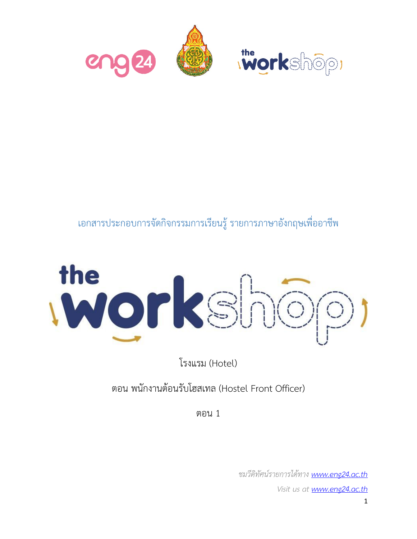

## เอกสารประกอบการจัดกิจกรรมการเรียนรู้รายการภาษาอังกฤษเพื่ออาชีพ



โรงแรม (Hotel)

ตอน พนักงานต้อนรับโฮสเทล (Hostel Front Officer)

ตอน 1

*ชมวีดิทัศน์รายการได้ทาง www.eng24.ac.th Visit us at www.eng24.ac.th*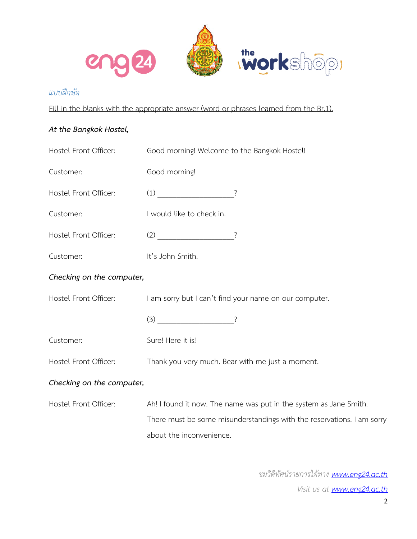

## *แบบฝึกหัด*

Fill in the blanks with the appropriate answer (word or phrases learned from the Br.1).

## *At the Bangkok Hostel,*

| Hostel Front Officer:     | Good morning! Welcome to the Bangkok Hostel!                           |  |  |
|---------------------------|------------------------------------------------------------------------|--|--|
| Customer:                 | Good morning!                                                          |  |  |
| Hostel Front Officer:     | $(1)$ ?                                                                |  |  |
| Customer:                 | I would like to check in.                                              |  |  |
| Hostel Front Officer:     | $(2)$ $\overline{\qquad}$ ?                                            |  |  |
| Customer:                 | It's John Smith.                                                       |  |  |
| Checking on the computer, |                                                                        |  |  |
| Hostel Front Officer:     | I am sorry but I can't find your name on our computer.                 |  |  |
|                           | $\left(3\right)$ ?                                                     |  |  |
| Customer:                 | Sure! Here it is!                                                      |  |  |
| Hostel Front Officer:     | Thank you very much. Bear with me just a moment.                       |  |  |
| Checking on the computer, |                                                                        |  |  |
| Hostel Front Officer:     | Ah! I found it now. The name was put in the system as Jane Smith.      |  |  |
|                           | There must be some misunderstandings with the reservations. I am sorry |  |  |
|                           | about the inconvenience.                                               |  |  |

*ชมวีดิทัศน์รายการได้ทาง www.eng24.ac.th Visit us at www.eng24.ac.th*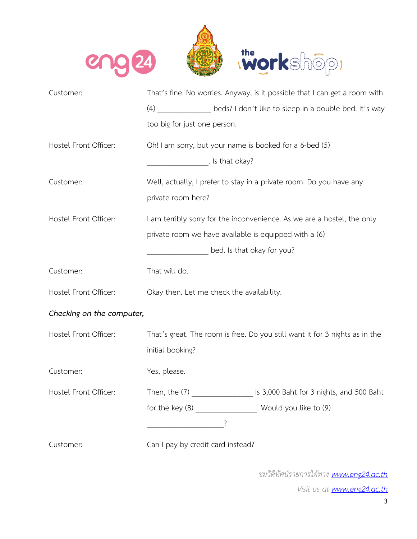

| Customer:                 | That's fine. No worries. Anyway, is it possible that I can get a room with    |  |  |
|---------------------------|-------------------------------------------------------------------------------|--|--|
|                           | (4) beds? I don't like to sleep in a double bed. It's way                     |  |  |
|                           | too big for just one person.                                                  |  |  |
| Hostel Front Officer:     | Oh! I am sorry, but your name is booked for a 6-bed (5)                       |  |  |
|                           | $\overline{\phantom{a}}$ . Is that okay?                                      |  |  |
| Customer:                 | Well, actually, I prefer to stay in a private room. Do you have any           |  |  |
|                           | private room here?                                                            |  |  |
| Hostel Front Officer:     | I am terribly sorry for the inconvenience. As we are a hostel, the only       |  |  |
|                           | private room we have available is equipped with a (6)                         |  |  |
|                           | bed. Is that okay for you?                                                    |  |  |
| Customer:                 | That will do.                                                                 |  |  |
| Hostel Front Officer:     | Okay then. Let me check the availability.                                     |  |  |
| Checking on the computer, |                                                                               |  |  |
| Hostel Front Officer:     | That's great. The room is free. Do you still want it for 3 nights as in the   |  |  |
|                           | initial booking?                                                              |  |  |
| Customer:                 | Yes, please.                                                                  |  |  |
| Hostel Front Officer:     | Then, the (7) ______________________ is 3,000 Baht for 3 nights, and 500 Baht |  |  |
|                           | for the key (8) Nould you like to (9)                                         |  |  |
|                           |                                                                               |  |  |
| Customer:                 | Can I pay by credit card instead?                                             |  |  |

*ชมวีดิทัศน์รายการได้ทาง www.eng24.ac.th*

*Visit us at www.eng24.ac.th*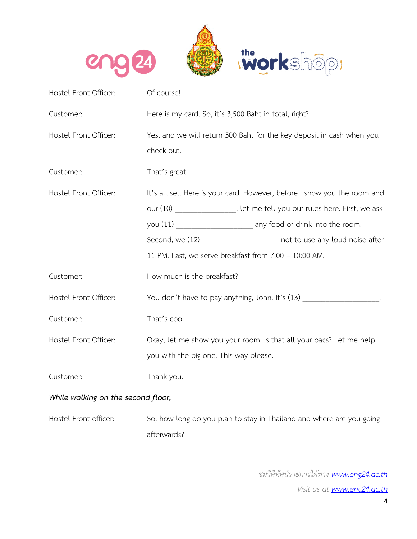

| Hostel Front Officer:              | Of course!                                                                          |  |  |
|------------------------------------|-------------------------------------------------------------------------------------|--|--|
| Customer:                          | Here is my card. So, it's 3,500 Baht in total, right?                               |  |  |
| Hostel Front Officer:              | Yes, and we will return 500 Baht for the key deposit in cash when you<br>check out. |  |  |
| Customer:                          | That's great.                                                                       |  |  |
| Hostel Front Officer:              | It's all set. Here is your card. However, before I show you the room and            |  |  |
|                                    | our (10) __________________, let me tell you our rules here. First, we ask          |  |  |
|                                    |                                                                                     |  |  |
|                                    | Second, we (12) ______________________ not to use any loud noise after              |  |  |
|                                    | 11 PM. Last, we serve breakfast from 7:00 - 10:00 AM.                               |  |  |
| Customer:                          | How much is the breakfast?                                                          |  |  |
| Hostel Front Officer:              | You don't have to pay anything, John. It's (13) ____________________.               |  |  |
| Customer:                          | That's cool.                                                                        |  |  |
| Hostel Front Officer:              | Okay, let me show you your room. Is that all your bags? Let me help                 |  |  |
|                                    | you with the big one. This way please.                                              |  |  |
| Customer:                          | Thank you.                                                                          |  |  |
| While walking on the second floor, |                                                                                     |  |  |

Hostel Front officer: So, how long do you plan to stay in Thailand and where are you going afterwards?

> *ชมวีดิทัศน์รายการได้ทาง www.eng24.ac.th Visit us at www.eng24.ac.th*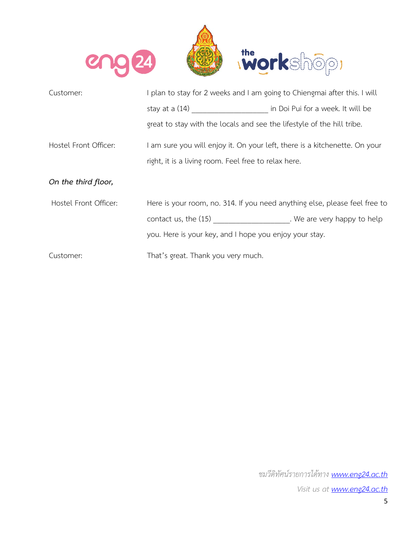

| Customer:             | I plan to stay for 2 weeks and I am going to Chiengmai after this. I will  |  |  |
|-----------------------|----------------------------------------------------------------------------|--|--|
|                       |                                                                            |  |  |
|                       | great to stay with the locals and see the lifestyle of the hill tribe.     |  |  |
| Hostel Front Officer: | I am sure you will enjoy it. On your left, there is a kitchenette. On your |  |  |
|                       | right, it is a living room. Feel free to relax here.                       |  |  |
| On the third floor,   |                                                                            |  |  |
| Hostel Front Officer: | Here is your room, no. 314. If you need anything else, please feel free to |  |  |
|                       | contact us, the (15) Contact us, the (15) Contact us, the (15)             |  |  |
|                       | you. Here is your key, and I hope you enjoy your stay.                     |  |  |
| Customer:             | That's great. Thank you very much.                                         |  |  |